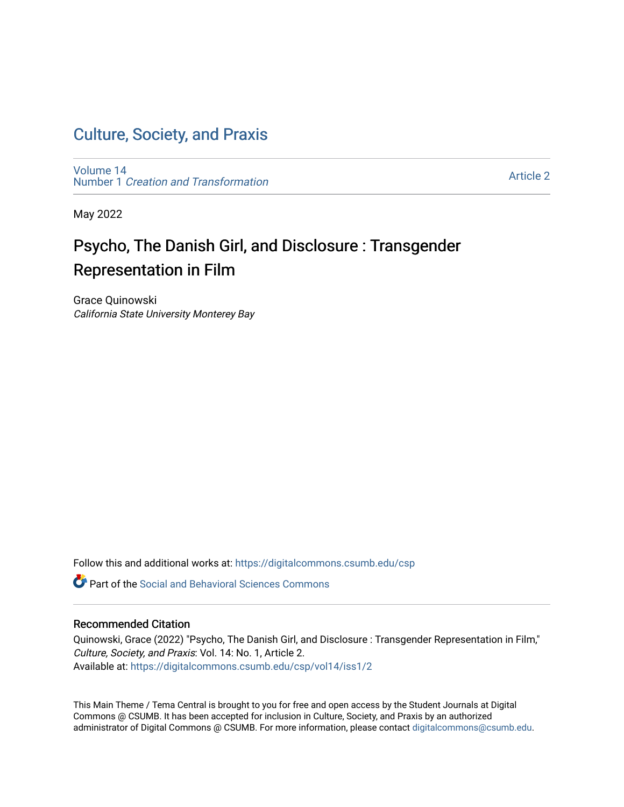### [Culture, Society, and Praxis](https://digitalcommons.csumb.edu/csp)

[Volume 14](https://digitalcommons.csumb.edu/csp/vol14) Number 1 [Creation and Transformation](https://digitalcommons.csumb.edu/csp/vol14/iss1)

[Article 2](https://digitalcommons.csumb.edu/csp/vol14/iss1/2) 

May 2022

## Psycho, The Danish Girl, and Disclosure : Transgender Representation in Film

Grace Quinowski California State University Monterey Bay

Follow this and additional works at: [https://digitalcommons.csumb.edu/csp](https://digitalcommons.csumb.edu/csp?utm_source=digitalcommons.csumb.edu%2Fcsp%2Fvol14%2Fiss1%2F2&utm_medium=PDF&utm_campaign=PDFCoverPages)

**C** Part of the Social and Behavioral Sciences Commons

#### Recommended Citation

Quinowski, Grace (2022) "Psycho, The Danish Girl, and Disclosure : Transgender Representation in Film," Culture, Society, and Praxis: Vol. 14: No. 1, Article 2. Available at: [https://digitalcommons.csumb.edu/csp/vol14/iss1/2](https://digitalcommons.csumb.edu/csp/vol14/iss1/2?utm_source=digitalcommons.csumb.edu%2Fcsp%2Fvol14%2Fiss1%2F2&utm_medium=PDF&utm_campaign=PDFCoverPages)

This Main Theme / Tema Central is brought to you for free and open access by the Student Journals at Digital Commons @ CSUMB. It has been accepted for inclusion in Culture, Society, and Praxis by an authorized administrator of Digital Commons @ CSUMB. For more information, please contact [digitalcommons@csumb.edu](mailto:digitalcommons@csumb.edu).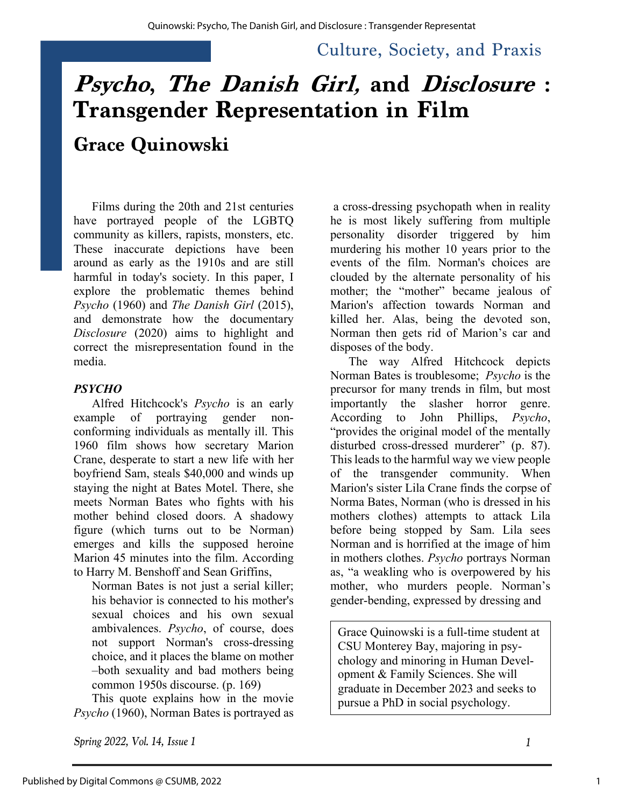Culture, Society, and Praxis

# **Psycho, The Danish Girl, and Disclosure : Transgender Representation in Film**

# **Grace Quinowski**

Films during the 20th and 21st centuries have portrayed people of the LGBTQ community as killers, rapists, monsters, etc. These inaccurate depictions have been around as early as the 1910s and are still harmful in today's society. In this paper, I explore the problematic themes behind *Psycho* (1960) and *The Danish Girl* (2015), and demonstrate how the documentary *Disclosure* (2020) aims to highlight and correct the misrepresentation found in the media.

#### *PSYCHO*

Alfred Hitchcock's *Psycho* is an early example of portraying gender nonconforming individuals as mentally ill. This 1960 film shows how secretary Marion Crane, desperate to start a new life with her boyfriend Sam, steals \$40,000 and winds up staying the night at Bates Motel. There, she meets Norman Bates who fights with his mother behind closed doors. A shadowy figure (which turns out to be Norman) emerges and kills the supposed heroine Marion 45 minutes into the film. According to Harry M. Benshoff and Sean Griffins,

Norman Bates is not just a serial killer; his behavior is connected to his mother's sexual choices and his own sexual ambivalences. *Psycho*, of course, does not support Norman's cross-dressing choice, and it places the blame on mother –both sexuality and bad mothers being common 1950s discourse. (p. 169)

This quote explains how in the movie *Psycho* (1960), Norman Bates is portrayed as

*Spring 2022, Vol. 14, Issue 1 1*

a cross-dressing psychopath when in reality he is most likely suffering from multiple personality disorder triggered by him murdering his mother 10 years prior to the events of the film. Norman's choices are clouded by the alternate personality of his mother; the "mother" became jealous of Marion's affection towards Norman and killed her. Alas, being the devoted son, Norman then gets rid of Marion's car and disposes of the body.

The way Alfred Hitchcock depicts Norman Bates is troublesome; *Psycho* is the precursor for many trends in film, but most importantly the slasher horror genre. According to John Phillips, *Psycho*, "provides the original model of the mentally disturbed cross-dressed murderer" (p. 87). This leads to the harmful way we view people of the transgender community. When Marion's sister Lila Crane finds the corpse of Norma Bates, Norman (who is dressed in his mothers clothes) attempts to attack Lila before being stopped by Sam. Lila sees Norman and is horrified at the image of him in mothers clothes. *Psycho* portrays Norman as, "a weakling who is overpowered by his mother, who murders people. Norman's gender-bending, expressed by dressing and

Grace Quinowski is a full-time student at CSU Monterey Bay, majoring in psychology and minoring in Human Development & Family Sciences. She will graduate in December 2023 and seeks to pursue a PhD in social psychology.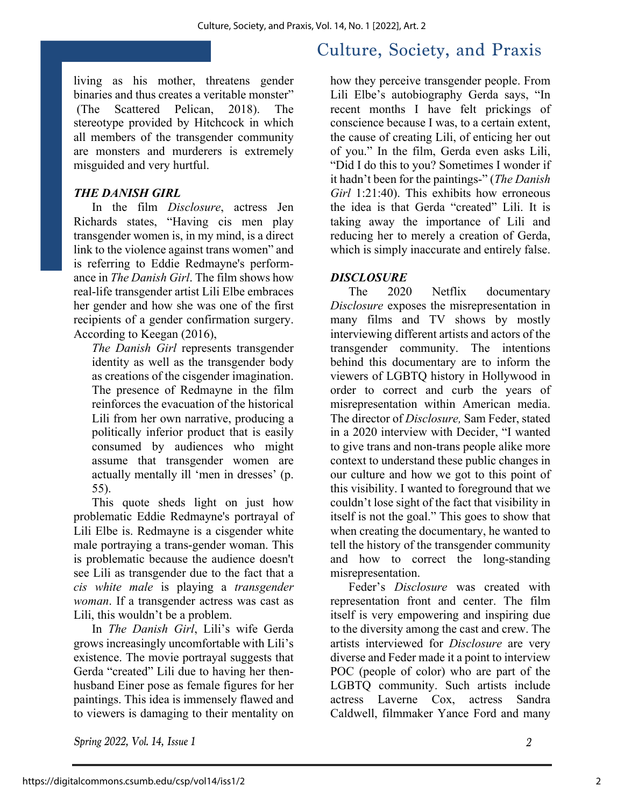living as his mother, threatens gender binaries and thus creates a veritable monster" (The Scattered Pelican, 2018). The stereotype provided by Hitchcock in which all members of the transgender community are monsters and murderers is extremely misguided and very hurtful.

#### *THE DANISH GIRL*

In the film *Disclosure*, actress Jen Richards states, "Having cis men play transgender women is, in my mind, is a direct link to the violence against trans women" and is referring to Eddie Redmayne's performance in *The Danish Girl*. The film shows how real-life transgender artist Lili Elbe embraces her gender and how she was one of the first recipients of a gender confirmation surgery. According to Keegan (2016),

*The Danish Girl* represents transgender identity as well as the transgender body as creations of the cisgender imagination. The presence of Redmayne in the film reinforces the evacuation of the historical Lili from her own narrative, producing a politically inferior product that is easily consumed by audiences who might assume that transgender women are actually mentally ill 'men in dresses' (p. 55).

This quote sheds light on just how problematic Eddie Redmayne's portrayal of Lili Elbe is. Redmayne is a cisgender white male portraying a trans-gender woman. This is problematic because the audience doesn't see Lili as transgender due to the fact that a *cis white male* is playing a *transgender woman*. If a transgender actress was cast as Lili, this wouldn't be a problem.

In *The Danish Girl*, Lili's wife Gerda grows increasingly uncomfortable with Lili's existence. The movie portrayal suggests that Gerda "created" Lili due to having her thenhusband Einer pose as female figures for her paintings. This idea is immensely flawed and to viewers is damaging to their mentality on

## Culture, Society, and Praxis

how they perceive transgender people. From Lili Elbe's autobiography Gerda says, "In recent months I have felt prickings of conscience because I was, to a certain extent, the cause of creating Lili, of enticing her out of you." In the film, Gerda even asks Lili, "Did I do this to you? Sometimes I wonder if it hadn't been for the paintings-" (*The Danish Girl* 1:21:40). This exhibits how erroneous the idea is that Gerda "created" Lili. It is taking away the importance of Lili and reducing her to merely a creation of Gerda, which is simply inaccurate and entirely false.

#### *DISCLOSURE*

The 2020 Netflix documentary *Disclosure* exposes the misrepresentation in many films and TV shows by mostly interviewing different artists and actors of the transgender community. The intentions behind this documentary are to inform the viewers of LGBTQ history in Hollywood in order to correct and curb the years of misrepresentation within American media. The director of *Disclosure,* Sam Feder, stated in a 2020 interview with Decider, "I wanted to give trans and non-trans people alike more context to understand these public changes in our culture and how we got to this point of this visibility. I wanted to foreground that we couldn't lose sight of the fact that visibility in itself is not the goal." This goes to show that when creating the documentary, he wanted to tell the history of the transgender community and how to correct the long-standing misrepresentation.

Feder's *Disclosure* was created with representation front and center. The film itself is very empowering and inspiring due to the diversity among the cast and crew. The artists interviewed for *Disclosure* are very diverse and Feder made it a point to interview POC (people of color) who are part of the LGBTQ community. Such artists include actress Laverne Cox, actress Sandra Caldwell, filmmaker Yance Ford and many

*Spring 2022, Vol. 14, Issue 1 2*